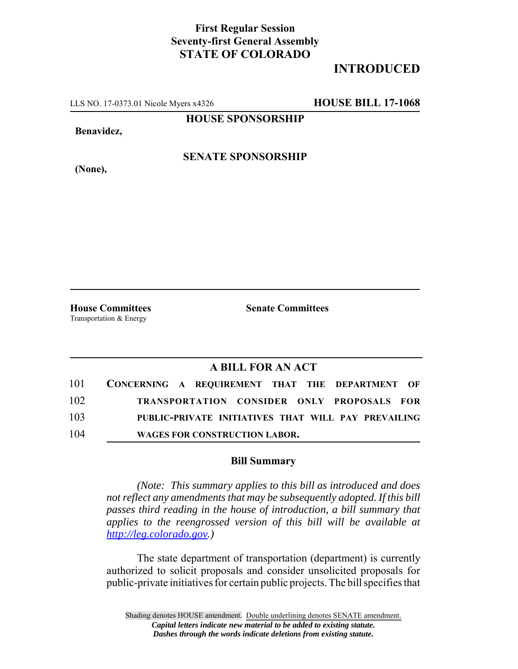## **First Regular Session Seventy-first General Assembly STATE OF COLORADO**

## **INTRODUCED**

LLS NO. 17-0373.01 Nicole Myers x4326 **HOUSE BILL 17-1068**

**HOUSE SPONSORSHIP**

**Benavidez,**

**SENATE SPONSORSHIP**

**(None),**

**House Committees Senate Committees** Transportation & Energy

## **A BILL FOR AN ACT**

| 101 | CONCERNING A REQUIREMENT THAT THE DEPARTMENT OF     |  |  |  |  |
|-----|-----------------------------------------------------|--|--|--|--|
| 102 | TRANSPORTATION CONSIDER ONLY PROPOSALS FOR          |  |  |  |  |
| 103 | PUBLIC-PRIVATE INITIATIVES THAT WILL PAY PREVAILING |  |  |  |  |
| 104 | <b>WAGES FOR CONSTRUCTION LABOR.</b>                |  |  |  |  |

## **Bill Summary**

*(Note: This summary applies to this bill as introduced and does not reflect any amendments that may be subsequently adopted. If this bill passes third reading in the house of introduction, a bill summary that applies to the reengrossed version of this bill will be available at http://leg.colorado.gov.)*

The state department of transportation (department) is currently authorized to solicit proposals and consider unsolicited proposals for public-private initiatives for certain public projects. The bill specifies that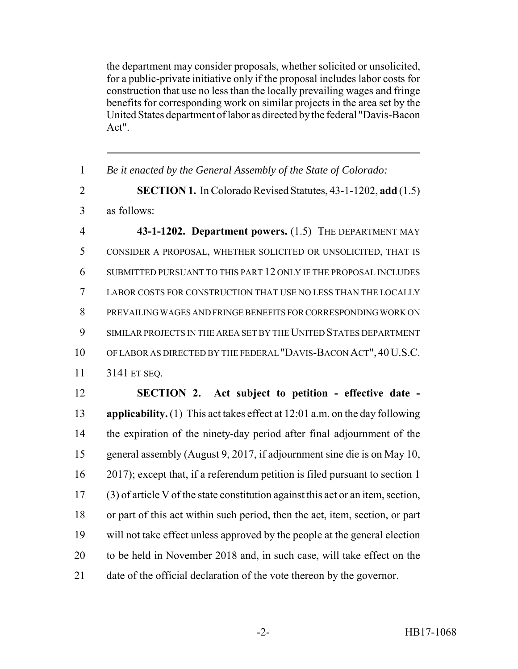the department may consider proposals, whether solicited or unsolicited, for a public-private initiative only if the proposal includes labor costs for construction that use no less than the locally prevailing wages and fringe benefits for corresponding work on similar projects in the area set by the United States department of labor as directed by the federal "Davis-Bacon Act".

| $\mathbf{1}$   | Be it enacted by the General Assembly of the State of Colorado:                      |
|----------------|--------------------------------------------------------------------------------------|
| $\overline{2}$ | <b>SECTION 1.</b> In Colorado Revised Statutes, 43-1-1202, add (1.5)                 |
| 3              | as follows:                                                                          |
| $\overline{4}$ | 43-1-1202. Department powers. (1.5) THE DEPARTMENT MAY                               |
| 5              | CONSIDER A PROPOSAL, WHETHER SOLICITED OR UNSOLICITED, THAT IS                       |
| 6              | SUBMITTED PURSUANT TO THIS PART 12 ONLY IF THE PROPOSAL INCLUDES                     |
| $\overline{7}$ | LABOR COSTS FOR CONSTRUCTION THAT USE NO LESS THAN THE LOCALLY                       |
| 8              | PREVAILING WAGES AND FRINGE BENEFITS FOR CORRESPONDING WORK ON                       |
| 9              | SIMILAR PROJECTS IN THE AREA SET BY THE UNITED STATES DEPARTMENT                     |
| 10             | OF LABOR AS DIRECTED BY THE FEDERAL "DAVIS-BACON ACT", 40 U.S.C.                     |
| 11             | 3141 ET SEQ.                                                                         |
| 12             | SECTION 2. Act subject to petition - effective date -                                |
| 13             | <b>applicability.</b> (1) This act takes effect at $12:01$ a.m. on the day following |
| 14             | the expiration of the ninety-day period after final adjournment of the               |
| 15             | general assembly (August 9, 2017, if adjournment sine die is on May 10,              |
| 16             | 2017); except that, if a referendum petition is filed pursuant to section 1          |
| 17             | (3) of article V of the state constitution against this act or an item, section,     |
| 18             | or part of this act within such period, then the act, item, section, or part         |
| 19             | will not take effect unless approved by the people at the general election           |
| 20             | to be held in November 2018 and, in such case, will take effect on the               |
| 21             | date of the official declaration of the vote thereon by the governor.                |